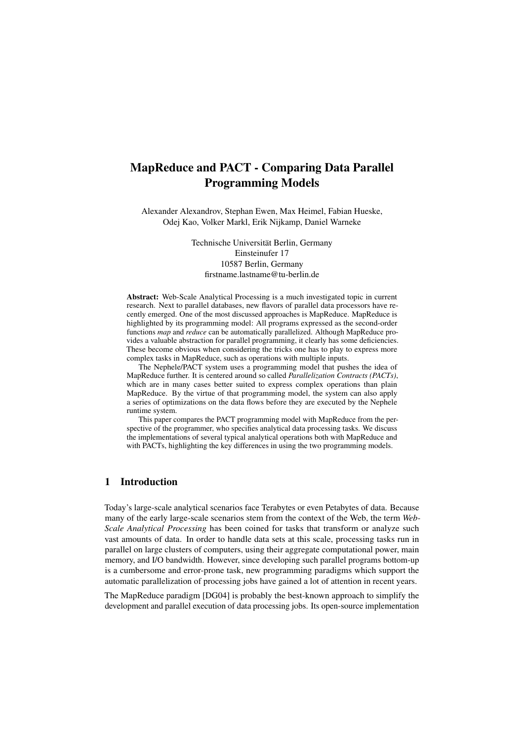# MapReduce and PACT - Comparing Data Parallel Programming Models

Alexander Alexandrov, Stephan Ewen, Max Heimel, Fabian Hueske, Odej Kao, Volker Markl, Erik Nijkamp, Daniel Warneke

> Technische Universität Berlin, Germany Einsteinufer 17 10587 Berlin, Germany firstname.lastname@tu-berlin.de

Abstract: Web-Scale Analytical Processing is a much investigated topic in current research. Next to parallel databases, new flavors of parallel data processors have recently emerged. One of the most discussed approaches is MapReduce. MapReduce is highlighted by its programming model: All programs expressed as the second-order functions *map* and *reduce* can be automatically parallelized. Although MapReduce provides a valuable abstraction for parallel programming, it clearly has some deficiencies. These become obvious when considering the tricks one has to play to express more complex tasks in MapReduce, such as operations with multiple inputs.

The Nephele/PACT system uses a programming model that pushes the idea of MapReduce further. It is centered around so called *Parallelization Contracts (PACTs)*, which are in many cases better suited to express complex operations than plain MapReduce. By the virtue of that programming model, the system can also apply a series of optimizations on the data flows before they are executed by the Nephele runtime system.

This paper compares the PACT programming model with MapReduce from the perspective of the programmer, who specifies analytical data processing tasks. We discuss the implementations of several typical analytical operations both with MapReduce and with PACTs, highlighting the key differences in using the two programming models.

## 1 Introduction

Today's large-scale analytical scenarios face Terabytes or even Petabytes of data. Because many of the early large-scale scenarios stem from the context of the Web, the term *Web-Scale Analytical Processing* has been coined for tasks that transform or analyze such vast amounts of data. In order to handle data sets at this scale, processing tasks run in parallel on large clusters of computers, using their aggregate computational power, main memory, and I/O bandwidth. However, since developing such parallel programs bottom-up is a cumbersome and error-prone task, new programming paradigms which support the automatic parallelization of processing jobs have gained a lot of attention in recent years.

The MapReduce paradigm [DG04] is probably the best-known approach to simplify the development and parallel execution of data processing jobs. Its open-source implementation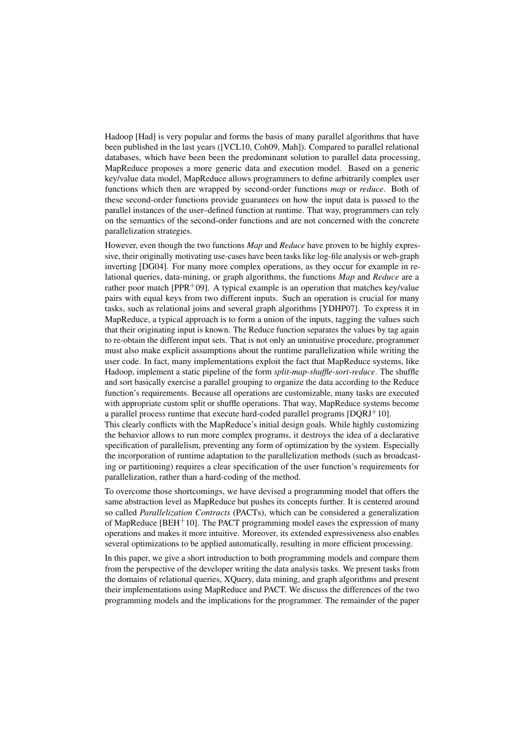Hadoop [Had] is very popular and forms the basis of many parallel algorithms that have been published in the last years ([VCL10, Coh09, Mah]). Compared to parallel relational databases, which have been been the predominant solution to parallel data processing, MapReduce proposes a more generic data and execution model. Based on a generic key/value data model, MapReduce allows programmers to define arbitrarily complex user functions which then are wrapped by second-order functions *map* or *reduce*. Both of these second-order functions provide guarantees on how the input data is passed to the parallel instances of the user–defined function at runtime. That way, programmers can rely on the semantics of the second-order functions and are not concerned with the concrete parallelization strategies.

However, even though the two functions *Map* and *Reduce* have proven to be highly expressive, their originally motivating use-cases have been tasks like log-file analysis or web-graph inverting [DG04]. For many more complex operations, as they occur for example in relational queries, data-mining, or graph algorithms, the functions *Map* and *Reduce* are a rather poor match [PPR+09]. A typical example is an operation that matches key/value pairs with equal keys from two different inputs. Such an operation is crucial for many tasks, such as relational joins and several graph algorithms [YDHP07]. To express it in MapReduce, a typical approach is to form a union of the inputs, tagging the values such that their originating input is known. The Reduce function separates the values by tag again to re-obtain the different input sets. That is not only an unintuitive procedure, programmer must also make explicit assumptions about the runtime parallelization while writing the user code. In fact, many implementations exploit the fact that MapReduce systems, like Hadoop, implement a static pipeline of the form *split*-*map*-*shuffle*-*sort*-*reduce*. The shuffle and sort basically exercise a parallel grouping to organize the data according to the Reduce function's requirements. Because all operations are customizable, many tasks are executed with appropriate custom split or shuffle operations. That way, MapReduce systems become a parallel process runtime that execute hard-coded parallel programs [DQRJ<sup>+</sup>10].

This clearly conflicts with the MapReduce's initial design goals. While highly customizing the behavior allows to run more complex programs, it destroys the idea of a declarative specification of parallelism, preventing any form of optimization by the system. Especially the incorporation of runtime adaptation to the parallelization methods (such as broadcasting or partitioning) requires a clear specification of the user function's requirements for parallelization, rather than a hard-coding of the method.

To overcome those shortcomings, we have devised a programming model that offers the same abstraction level as MapReduce but pushes its concepts further. It is centered around so called *Parallelization Contracts* (PACTs), which can be considered a generalization of MapReduce  $[BEH^+10]$ . The PACT programming model eases the expression of many operations and makes it more intuitive. Moreover, its extended expressiveness also enables several optimizations to be applied automatically, resulting in more efficient processing.

In this paper, we give a short introduction to both programming models and compare them from the perspective of the developer writing the data analysis tasks. We present tasks from the domains of relational queries, XQuery, data mining, and graph algorithms and present their implementations using MapReduce and PACT. We discuss the differences of the two programming models and the implications for the programmer. The remainder of the paper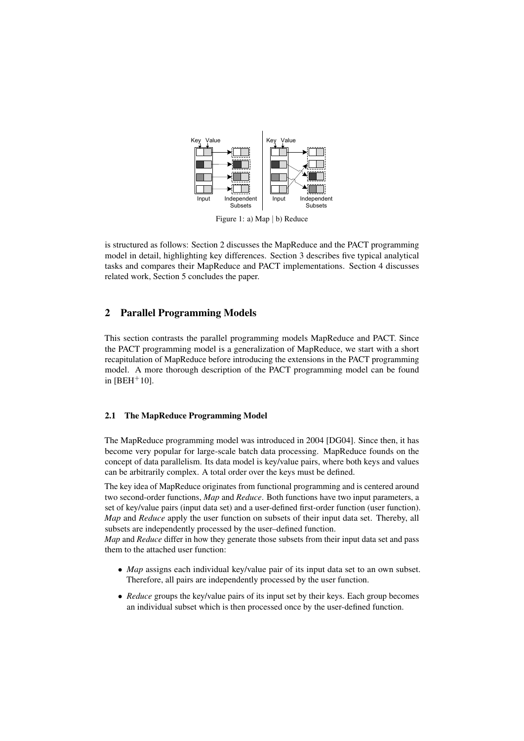

Figure 1: a) Map | b) Reduce

is structured as follows: Section 2 discusses the MapReduce and the PACT programming model in detail, highlighting key differences. Section 3 describes five typical analytical tasks and compares their MapReduce and PACT implementations. Section 4 discusses related work, Section 5 concludes the paper.

# 2 Parallel Programming Models

This section contrasts the parallel programming models MapReduce and PACT. Since the PACT programming model is a generalization of MapReduce, we start with a short recapitulation of MapReduce before introducing the extensions in the PACT programming model. A more thorough description of the PACT programming model can be found in  $[BEH+10]$ .

#### 2.1 The MapReduce Programming Model

The MapReduce programming model was introduced in 2004 [DG04]. Since then, it has become very popular for large-scale batch data processing. MapReduce founds on the concept of data parallelism. Its data model is key/value pairs, where both keys and values can be arbitrarily complex. A total order over the keys must be defined.

The key idea of MapReduce originates from functional programming and is centered around two second-order functions, *Map* and *Reduce*. Both functions have two input parameters, a set of key/value pairs (input data set) and a user-defined first-order function (user function). *Map* and *Reduce* apply the user function on subsets of their input data set. Thereby, all subsets are independently processed by the user–defined function.

*Map* and *Reduce* differ in how they generate those subsets from their input data set and pass them to the attached user function:

- *Map* assigns each individual key/value pair of its input data set to an own subset. Therefore, all pairs are independently processed by the user function.
- *Reduce* groups the key/value pairs of its input set by their keys. Each group becomes an individual subset which is then processed once by the user-defined function.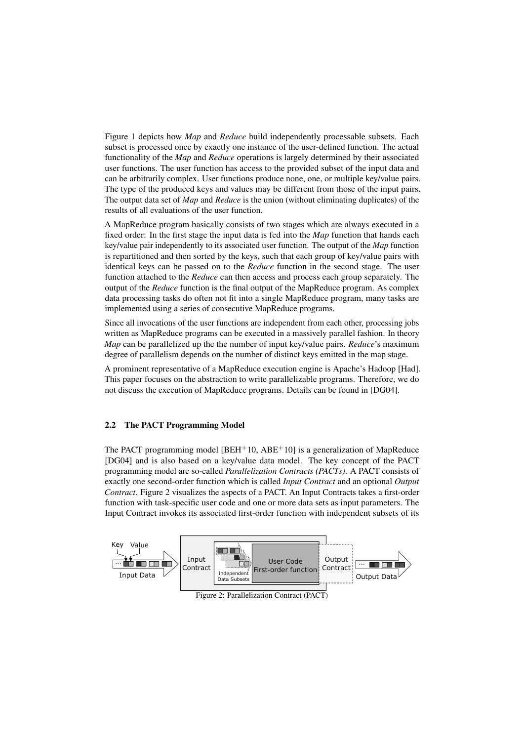Figure 1 depicts how *Map* and *Reduce* build independently processable subsets. Each subset is processed once by exactly one instance of the user-defined function. The actual functionality of the *Map* and *Reduce* operations is largely determined by their associated user functions. The user function has access to the provided subset of the input data and can be arbitrarily complex. User functions produce none, one, or multiple key/value pairs. The type of the produced keys and values may be different from those of the input pairs. The output data set of *Map* and *Reduce* is the union (without eliminating duplicates) of the results of all evaluations of the user function.

A MapReduce program basically consists of two stages which are always executed in a fixed order: In the first stage the input data is fed into the *Map* function that hands each key/value pair independently to its associated user function. The output of the *Map* function is repartitioned and then sorted by the keys, such that each group of key/value pairs with identical keys can be passed on to the *Reduce* function in the second stage. The user function attached to the *Reduce* can then access and process each group separately. The output of the *Reduce* function is the final output of the MapReduce program. As complex data processing tasks do often not fit into a single MapReduce program, many tasks are implemented using a series of consecutive MapReduce programs.

Since all invocations of the user functions are independent from each other, processing jobs written as MapReduce programs can be executed in a massively parallel fashion. In theory *Map* can be parallelized up the the number of input key/value pairs. *Reduce*'s maximum degree of parallelism depends on the number of distinct keys emitted in the map stage.

A prominent representative of a MapReduce execution engine is Apache's Hadoop [Had]. This paper focuses on the abstraction to write parallelizable programs. Therefore, we do not discuss the execution of MapReduce programs. Details can be found in [DG04].

#### 2.2 The PACT Programming Model

The PACT programming model  $IBEH<sup>+</sup>10$ ,  $ABE<sup>+</sup>101$  is a generalization of MapReduce [DG04] and is also based on a key/value data model. The key concept of the PACT programming model are so-called *Parallelization Contracts (PACTs)*. A PACT consists of exactly one second-order function which is called *Input Contract* and an optional *Output Contract*. Figure 2 visualizes the aspects of a PACT. An Input Contracts takes a first-order function with task-specific user code and one or more data sets as input parameters. The Input Contract invokes its associated first-order function with independent subsets of its

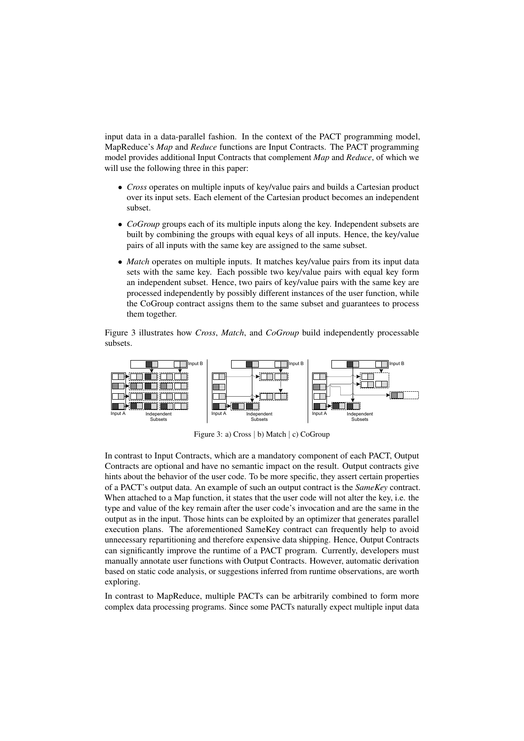input data in a data-parallel fashion. In the context of the PACT programming model, MapReduce's *Map* and *Reduce* functions are Input Contracts. The PACT programming model provides additional Input Contracts that complement *Map* and *Reduce*, of which we will use the following three in this paper:

- *Cross* operates on multiple inputs of key/value pairs and builds a Cartesian product over its input sets. Each element of the Cartesian product becomes an independent subset.
- *CoGroup* groups each of its multiple inputs along the key. Independent subsets are built by combining the groups with equal keys of all inputs. Hence, the key/value pairs of all inputs with the same key are assigned to the same subset.
- *Match* operates on multiple inputs. It matches key/value pairs from its input data sets with the same key. Each possible two key/value pairs with equal key form an independent subset. Hence, two pairs of key/value pairs with the same key are processed independently by possibly different instances of the user function, while the CoGroup contract assigns them to the same subset and guarantees to process them together.

Figure 3 illustrates how *Cross*, *Match*, and *CoGroup* build independently processable subsets.



Figure 3: a) Cross | b) Match | c) CoGroup

In contrast to Input Contracts, which are a mandatory component of each PACT, Output Contracts are optional and have no semantic impact on the result. Output contracts give hints about the behavior of the user code. To be more specific, they assert certain properties of a PACT's output data. An example of such an output contract is the *SameKey* contract. When attached to a Map function, it states that the user code will not alter the key, i.e. the type and value of the key remain after the user code's invocation and are the same in the output as in the input. Those hints can be exploited by an optimizer that generates parallel execution plans. The aforementioned SameKey contract can frequently help to avoid unnecessary repartitioning and therefore expensive data shipping. Hence, Output Contracts can significantly improve the runtime of a PACT program. Currently, developers must manually annotate user functions with Output Contracts. However, automatic derivation based on static code analysis, or suggestions inferred from runtime observations, are worth exploring.

In contrast to MapReduce, multiple PACTs can be arbitrarily combined to form more complex data processing programs. Since some PACTs naturally expect multiple input data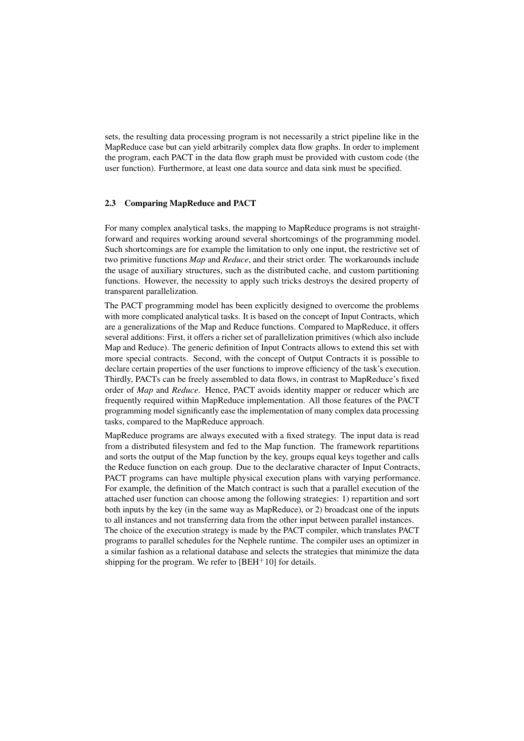sets, the resulting data processing program is not necessarily a strict pipeline like in the MapReduce case but can yield arbitrarily complex data flow graphs. In order to implement the program, each PACT in the data flow graph must be provided with custom code (the user function). Furthermore, at least one data source and data sink must be specified.

#### 2.3 Comparing MapReduce and PACT

For many complex analytical tasks, the mapping to MapReduce programs is not straightforward and requires working around several shortcomings of the programming model. Such shortcomings are for example the limitation to only one input, the restrictive set of two primitive functions *Map* and *Reduce*, and their strict order. The workarounds include the usage of auxiliary structures, such as the distributed cache, and custom partitioning functions. However, the necessity to apply such tricks destroys the desired property of transparent parallelization.

The PACT programming model has been explicitly designed to overcome the problems with more complicated analytical tasks. It is based on the concept of Input Contracts, which are a generalizations of the Map and Reduce functions. Compared to MapReduce, it offers several additions: First, it offers a richer set of parallelization primitives (which also include Map and Reduce). The generic definition of Input Contracts allows to extend this set with more special contracts. Second, with the concept of Output Contracts it is possible to declare certain properties of the user functions to improve efficiency of the task's execution. Thirdly, PACTs can be freely assembled to data flows, in contrast to MapReduce's fixed order of *Map* and *Reduce*. Hence, PACT avoids identity mapper or reducer which are frequently required within MapReduce implementation. All those features of the PACT programming model significantly ease the implementation of many complex data processing tasks, compared to the MapReduce approach.

MapReduce programs are always executed with a fixed strategy. The input data is read from a distributed filesystem and fed to the Map function. The framework repartitions and sorts the output of the Map function by the key, groups equal keys together and calls the Reduce function on each group. Due to the declarative character of Input Contracts, PACT programs can have multiple physical execution plans with varying performance. For example, the definition of the Match contract is such that a parallel execution of the attached user function can choose among the following strategies: 1) repartition and sort both inputs by the key (in the same way as MapReduce), or 2) broadcast one of the inputs to all instances and not transferring data from the other input between parallel instances. The choice of the execution strategy is made by the PACT compiler, which translates PACT programs to parallel schedules for the Nephele runtime. The compiler uses an optimizer in a similar fashion as a relational database and selects the strategies that minimize the data shipping for the program. We refer to  $[BEH<sup>+</sup>10]$  for details.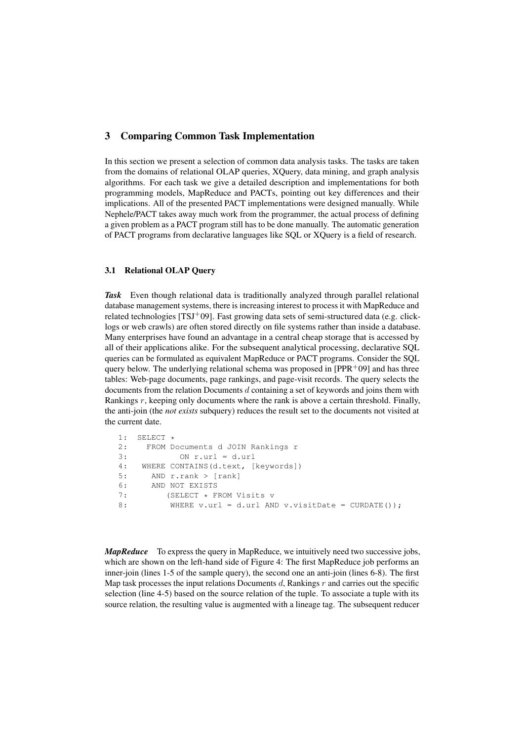## 3 Comparing Common Task Implementation

In this section we present a selection of common data analysis tasks. The tasks are taken from the domains of relational OLAP queries, XQuery, data mining, and graph analysis algorithms. For each task we give a detailed description and implementations for both programming models, MapReduce and PACTs, pointing out key differences and their implications. All of the presented PACT implementations were designed manually. While Nephele/PACT takes away much work from the programmer, the actual process of defining a given problem as a PACT program still has to be done manually. The automatic generation of PACT programs from declarative languages like SQL or XQuery is a field of research.

#### 3.1 Relational OLAP Query

*Task* Even though relational data is traditionally analyzed through parallel relational database management systems, there is increasing interest to process it with MapReduce and related technologies [TSJ+09]. Fast growing data sets of semi-structured data (e.g. clicklogs or web crawls) are often stored directly on file systems rather than inside a database. Many enterprises have found an advantage in a central cheap storage that is accessed by all of their applications alike. For the subsequent analytical processing, declarative SQL queries can be formulated as equivalent MapReduce or PACT programs. Consider the SQL query below. The underlying relational schema was proposed in  $[PPR<sup>+</sup>09]$  and has three tables: Web-page documents, page rankings, and page-visit records. The query selects the documents from the relation Documents d containing a set of keywords and joins them with Rankings  $r$ , keeping only documents where the rank is above a certain threshold. Finally, the anti-join (the *not exists* subquery) reduces the result set to the documents not visited at the current date.

```
1: SELECT *<br>2: FROM D
    FROM Documents d JOIN Rankings r
3: ON r.url = d.url
4: WHERE CONTAINS(d.text, [keywords])
5: AND r.rank > [rank]
6: AND NOT EXISTS
7: (SELECT * FROM Visits v
8: WHERE v.url = d.url AND v.visitDate = CURDATE());
```
*MapReduce* To express the query in MapReduce, we intuitively need two successive jobs, which are shown on the left-hand side of Figure 4: The first MapReduce job performs an inner-join (lines 1-5 of the sample query), the second one an anti-join (lines 6-8). The first Map task processes the input relations Documents d, Rankings  $r$  and carries out the specific selection (line 4-5) based on the source relation of the tuple. To associate a tuple with its source relation, the resulting value is augmented with a lineage tag. The subsequent reducer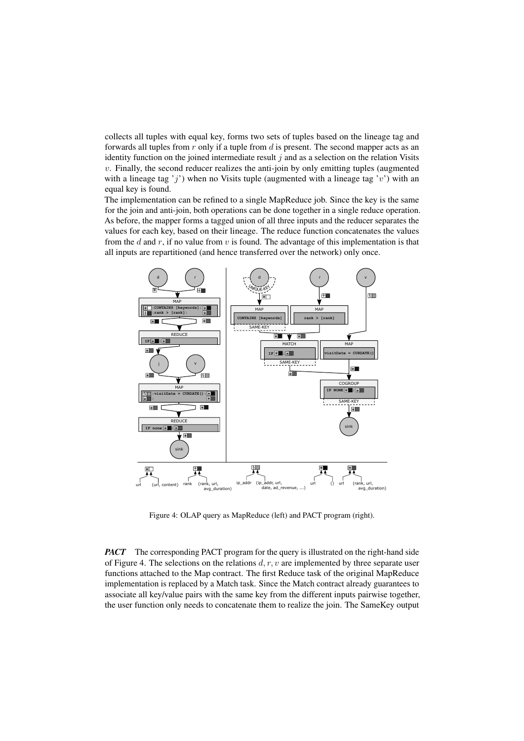collects all tuples with equal key, forms two sets of tuples based on the lineage tag and forwards all tuples from  $r$  only if a tuple from  $d$  is present. The second mapper acts as an identity function on the joined intermediate result  $j$  and as a selection on the relation Visits  $v$ . Finally, the second reducer realizes the anti-join by only emitting tuples (augmented with a lineage tag 'j') when no Visits tuple (augmented with a lineage tag 'v') with an equal key is found.

The implementation can be refined to a single MapReduce job. Since the key is the same for the join and anti-join, both operations can be done together in a single reduce operation. As before, the mapper forms a tagged union of all three inputs and the reducer separates the values for each key, based on their lineage. The reduce function concatenates the values from the d and r, if no value from v is found. The advantage of this implementation is that all inputs are repartitioned (and hence transferred over the network) only once.



Figure 4: OLAP query as MapReduce (left) and PACT program (right).

*PACT* The corresponding PACT program for the query is illustrated on the right-hand side of Figure 4. The selections on the relations  $d, r, v$  are implemented by three separate user functions attached to the Map contract. The first Reduce task of the original MapReduce implementation is replaced by a Match task. Since the Match contract already guarantees to associate all key/value pairs with the same key from the different inputs pairwise together, the user function only needs to concatenate them to realize the join. The SameKey output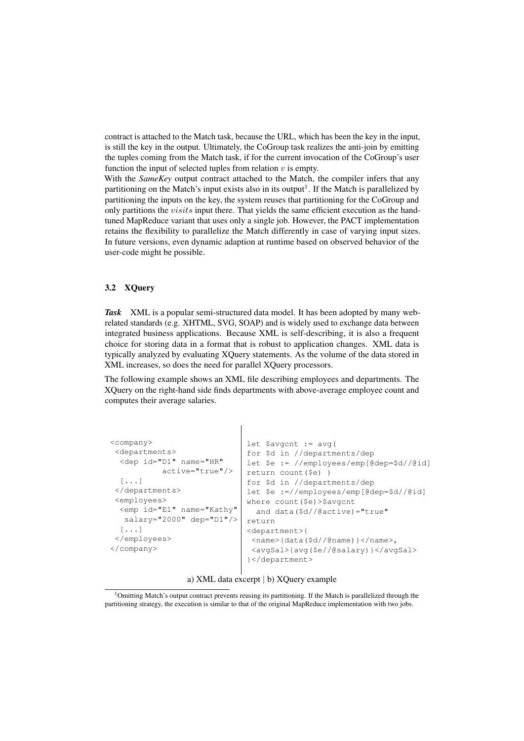contract is attached to the Match task, because the URL, which has been the key in the input, is still the key in the output. Ultimately, the CoGroup task realizes the anti-join by emitting the tuples coming from the Match task, if for the current invocation of the CoGroup's user function the input of selected tuples from relation  $v$  is empty.

With the *SameKey* output contract attached to the Match, the compiler infers that any partitioning on the Match's input exists also in its output<sup>1</sup>. If the Match is parallelized by partitioning the inputs on the key, the system reuses that partitioning for the CoGroup and only partitions the *visits* input there. That yields the same efficient execution as the handtuned MapReduce variant that uses only a single job. However, the PACT implementation retains the flexibility to parallelize the Match differently in case of varying input sizes. In future versions, even dynamic adaption at runtime based on observed behavior of the user-code might be possible.

#### 3.2 XQuery

*Task* XML is a popular semi-structured data model. It has been adopted by many webrelated standards (e.g. XHTML, SVG, SOAP) and is widely used to exchange data between integrated business applications. Because XML is self-describing, it is also a frequent choice for storing data in a format that is robust to application changes. XML data is typically analyzed by evaluating XQuery statements. As the volume of the data stored in XML increases, so does the need for parallel XQuery processors.

The following example shows an XML file describing employees and departments. The XQuery on the right-hand side finds departments with above-average employee count and computes their average salaries.

 $\overline{\phantom{a}}$ 

| $<$ company><br><departments><br/><dep <br="" id="D1" name="HR"><math>active="true"</math><br/><math>[\ldots]</math><br/></dep></departments><br><employees><br/><emp <br="" id="E1" name="Kathy"><math>salary="2000" dep="D1*/&gt;</math><br/><math>[\ldots]</math><br/></emp></employees><br>$\langle$ /company> | let \$avgcnt := $avg($<br>for \$d in //departments/dep<br>let $\frac{1}{e}$ := //employees/emp[@dep= $\frac{1}{d}$ ]<br>return count (\$e) )<br>for \$d in //departments/dep<br>let $\leq \frac{1}{2}$ :=//employees/emp[@dep= $\frac{1}{2}d$ /@id]<br>where $count($ \$e) >\$avqcnt<br>and data $(\frac{6}{3}d)/\sqrt{6}$ active) = "true"<br>return<br><department>{<br/><math>\langle</math>name&gt;{data(\$d//@name)}<math>\langle</math>/name&gt;,<br/><avgsal>{avg(\$e//@salary)}</avgsal><br/>}</department> |
|--------------------------------------------------------------------------------------------------------------------------------------------------------------------------------------------------------------------------------------------------------------------------------------------------------------------|---------------------------------------------------------------------------------------------------------------------------------------------------------------------------------------------------------------------------------------------------------------------------------------------------------------------------------------------------------------------------------------------------------------------------------------------------------------------------------------------------------------------|
|                                                                                                                                                                                                                                                                                                                    |                                                                                                                                                                                                                                                                                                                                                                                                                                                                                                                     |

a) XML data excerpt | b) XQuery example

<sup>&</sup>lt;sup>1</sup>Omitting Match's output contract prevents reusing its partitioning. If the Match is parallelized through the partitioning strategy, the execution is similar to that of the original MapReduce implementation with two jobs.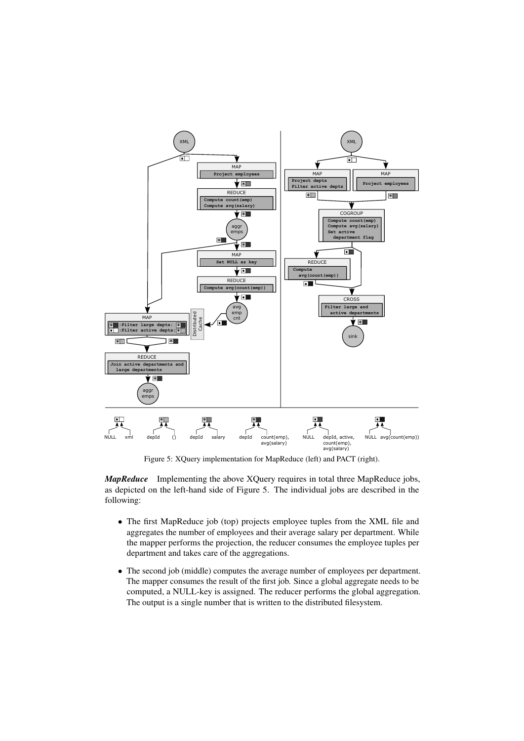

Figure 5: XQuery implementation for MapReduce (left) and PACT (right).

*MapReduce* Implementing the above XQuery requires in total three MapReduce jobs, as depicted on the left-hand side of Figure 5. The individual jobs are described in the following:

- The first MapReduce job (top) projects employee tuples from the XML file and aggregates the number of employees and their average salary per department. While the mapper performs the projection, the reducer consumes the employee tuples per department and takes care of the aggregations.
- The second job (middle) computes the average number of employees per department. The mapper consumes the result of the first job. Since a global aggregate needs to be computed, a NULL-key is assigned. The reducer performs the global aggregation. The output is a single number that is written to the distributed filesystem.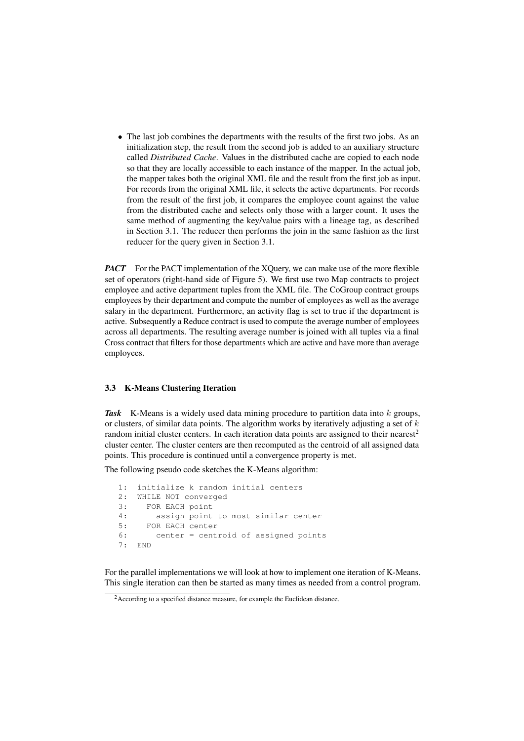• The last job combines the departments with the results of the first two jobs. As an initialization step, the result from the second job is added to an auxiliary structure called *Distributed Cache*. Values in the distributed cache are copied to each node so that they are locally accessible to each instance of the mapper. In the actual job, the mapper takes both the original XML file and the result from the first job as input. For records from the original XML file, it selects the active departments. For records from the result of the first job, it compares the employee count against the value from the distributed cache and selects only those with a larger count. It uses the same method of augmenting the key/value pairs with a lineage tag, as described in Section 3.1. The reducer then performs the join in the same fashion as the first reducer for the query given in Section 3.1.

*PACT* For the PACT implementation of the XQuery, we can make use of the more flexible set of operators (right-hand side of Figure 5). We first use two Map contracts to project employee and active department tuples from the XML file. The CoGroup contract groups employees by their department and compute the number of employees as well as the average salary in the department. Furthermore, an activity flag is set to true if the department is active. Subsequently a Reduce contract is used to compute the average number of employees across all departments. The resulting average number is joined with all tuples via a final Cross contract that filters for those departments which are active and have more than average employees.

#### 3.3 K-Means Clustering Iteration

*Task* K-Means is a widely used data mining procedure to partition data into k groups, or clusters, of similar data points. The algorithm works by iteratively adjusting a set of  $k$ random initial cluster centers. In each iteration data points are assigned to their nearest<sup>2</sup> cluster center. The cluster centers are then recomputed as the centroid of all assigned data points. This procedure is continued until a convergence property is met.

The following pseudo code sketches the K-Means algorithm:

```
1: initialize k random initial centers
2: WHILE NOT converged
3: FOR EACH point
4: assign point to most similar center
5: FOR EACH center
6: center = centroid of assigned points
7: END
```
For the parallel implementations we will look at how to implement one iteration of K-Means. This single iteration can then be started as many times as needed from a control program.

<sup>&</sup>lt;sup>2</sup> According to a specified distance measure, for example the Euclidean distance.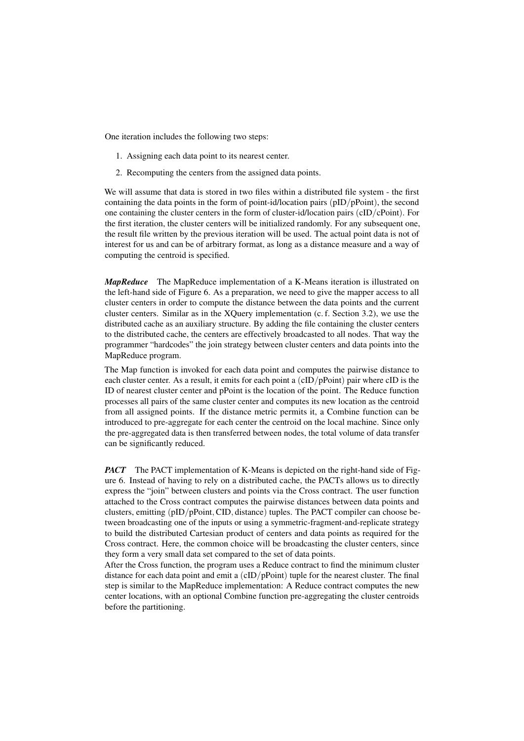One iteration includes the following two steps:

- 1. Assigning each data point to its nearest center.
- 2. Recomputing the centers from the assigned data points.

We will assume that data is stored in two files within a distributed file system - the first containing the data points in the form of point-id/location pairs (pID/pPoint), the second one containing the cluster centers in the form of cluster-id/location pairs (cID/cPoint). For the first iteration, the cluster centers will be initialized randomly. For any subsequent one, the result file written by the previous iteration will be used. The actual point data is not of interest for us and can be of arbitrary format, as long as a distance measure and a way of computing the centroid is specified.

*MapReduce* The MapReduce implementation of a K-Means iteration is illustrated on the left-hand side of Figure 6. As a preparation, we need to give the mapper access to all cluster centers in order to compute the distance between the data points and the current cluster centers. Similar as in the XQuery implementation (c. f. Section 3.2), we use the distributed cache as an auxiliary structure. By adding the file containing the cluster centers to the distributed cache, the centers are effectively broadcasted to all nodes. That way the programmer "hardcodes" the join strategy between cluster centers and data points into the MapReduce program.

The Map function is invoked for each data point and computes the pairwise distance to each cluster center. As a result, it emits for each point a (cID/pPoint) pair where cID is the ID of nearest cluster center and pPoint is the location of the point. The Reduce function processes all pairs of the same cluster center and computes its new location as the centroid from all assigned points. If the distance metric permits it, a Combine function can be introduced to pre-aggregate for each center the centroid on the local machine. Since only the pre-aggregated data is then transferred between nodes, the total volume of data transfer can be significantly reduced.

*PACT* The PACT implementation of K-Means is depicted on the right-hand side of Figure 6. Instead of having to rely on a distributed cache, the PACTs allows us to directly express the "join" between clusters and points via the Cross contract. The user function attached to the Cross contract computes the pairwise distances between data points and clusters, emitting (pID/pPoint, CID, distance) tuples. The PACT compiler can choose between broadcasting one of the inputs or using a symmetric-fragment-and-replicate strategy to build the distributed Cartesian product of centers and data points as required for the Cross contract. Here, the common choice will be broadcasting the cluster centers, since they form a very small data set compared to the set of data points.

After the Cross function, the program uses a Reduce contract to find the minimum cluster distance for each data point and emit a  $(cID/pPoint)$  tuple for the nearest cluster. The final step is similar to the MapReduce implementation: A Reduce contract computes the new center locations, with an optional Combine function pre-aggregating the cluster centroids before the partitioning.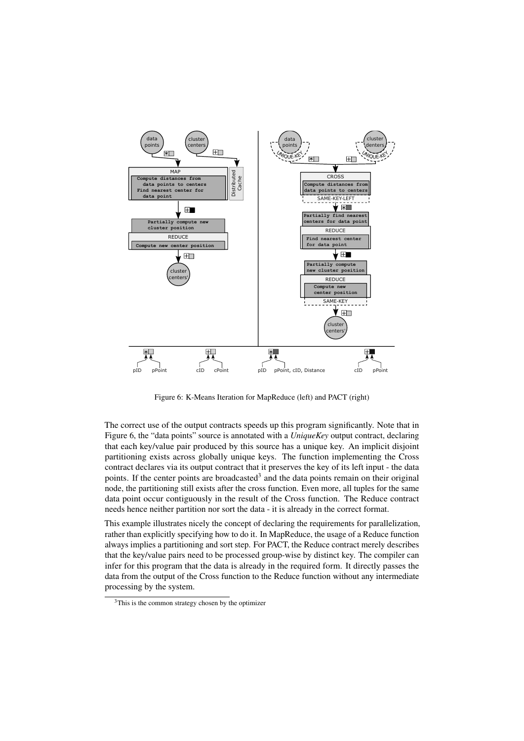

Figure 6: K-Means Iteration for MapReduce (left) and PACT (right)

The correct use of the output contracts speeds up this program significantly. Note that in Figure 6, the "data points" source is annotated with a *UniqueKey* output contract, declaring that each key/value pair produced by this source has a unique key. An implicit disjoint partitioning exists across globally unique keys. The function implementing the Cross contract declares via its output contract that it preserves the key of its left input - the data points. If the center points are broadcasted<sup>3</sup> and the data points remain on their original node, the partitioning still exists after the cross function. Even more, all tuples for the same data point occur contiguously in the result of the Cross function. The Reduce contract needs hence neither partition nor sort the data - it is already in the correct format.

This example illustrates nicely the concept of declaring the requirements for parallelization, rather than explicitly specifying how to do it. In MapReduce, the usage of a Reduce function always implies a partitioning and sort step. For PACT, the Reduce contract merely describes that the key/value pairs need to be processed group-wise by distinct key. The compiler can infer for this program that the data is already in the required form. It directly passes the data from the output of the Cross function to the Reduce function without any intermediate processing by the system.

<sup>&</sup>lt;sup>3</sup>This is the common strategy chosen by the optimizer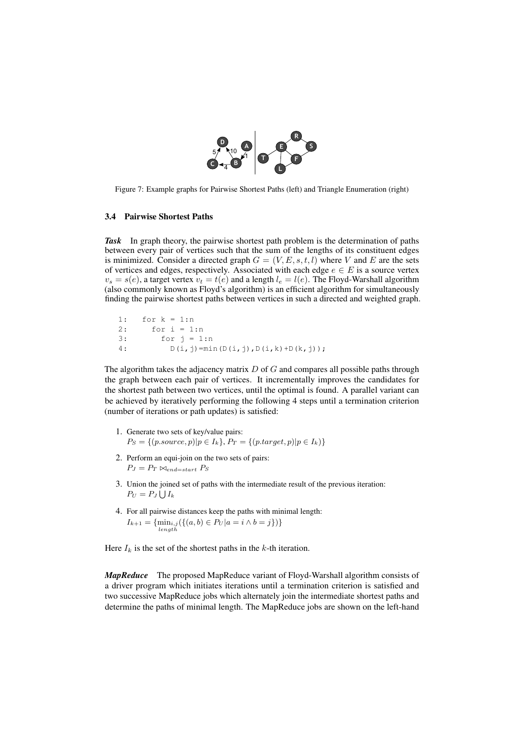

Figure 7: Example graphs for Pairwise Shortest Paths (left) and Triangle Enumeration (right)

#### 3.4 Pairwise Shortest Paths

*Task* In graph theory, the pairwise shortest path problem is the determination of paths between every pair of vertices such that the sum of the lengths of its constituent edges is minimized. Consider a directed graph  $G = (V, E, s, t, l)$  where V and E are the sets of vertices and edges, respectively. Associated with each edge  $e \in E$  is a source vertex  $v_s = s(e)$ , a target vertex  $v_t = t(e)$  and a length  $l_e = l(e)$ . The Floyd-Warshall algorithm (also commonly known as Floyd's algorithm) is an efficient algorithm for simultaneously finding the pairwise shortest paths between vertices in such a directed and weighted graph.

1: for k = 1:n 2: for i = 1:n  $3:$  for  $j = 1:n$ 4:  $D(i, j) = min(D(i, j), D(i, k) + D(k, j))$ ;

The algorithm takes the adjacency matrix  $D$  of  $G$  and compares all possible paths through the graph between each pair of vertices. It incrementally improves the candidates for the shortest path between two vertices, until the optimal is found. A parallel variant can be achieved by iteratively performing the following 4 steps until a termination criterion (number of iterations or path updates) is satisfied:

- 1. Generate two sets of key/value pairs:  $P_S = \{(p-source, p) | p \in I_k\}, P_T = \{(p-target, p) | p \in I_k)\}$
- 2. Perform an equi-join on the two sets of pairs:  $P_J = P_T \Join_{end=start} P_S$
- 3. Union the joined set of paths with the intermediate result of the previous iteration:  $P_U = P_J \bigcup I_k$
- 4. For all pairwise distances keep the paths with minimal length:  $I_{k+1} = {\min_{i,j}(\{(a,b) \in P_U | a = i \land b = j\})\}$  $l$ ength

Here  $I_k$  is the set of the shortest paths in the k-th iteration.

*MapReduce* The proposed MapReduce variant of Floyd-Warshall algorithm consists of a driver program which initiates iterations until a termination criterion is satisfied and two successive MapReduce jobs which alternately join the intermediate shortest paths and determine the paths of minimal length. The MapReduce jobs are shown on the left-hand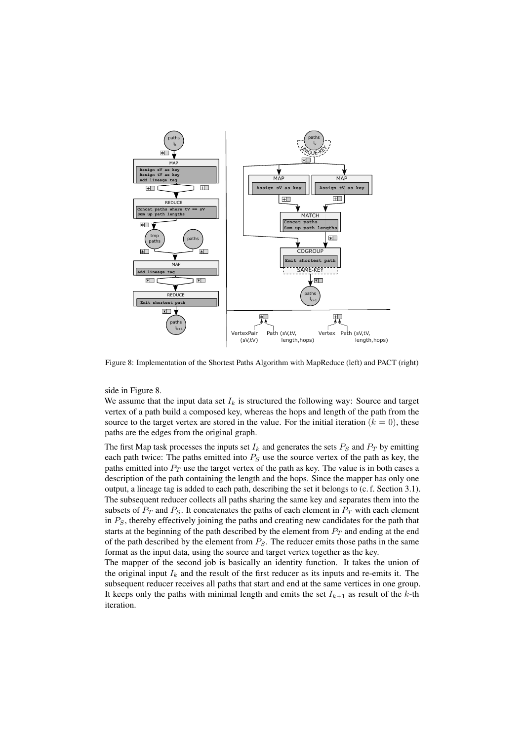

Figure 8: Implementation of the Shortest Paths Algorithm with MapReduce (left) and PACT (right)

side in Figure 8.

We assume that the input data set  $I_k$  is structured the following way: Source and target vertex of a path build a composed key, whereas the hops and length of the path from the source to the target vertex are stored in the value. For the initial iteration  $(k = 0)$ , these paths are the edges from the original graph.

The first Map task processes the inputs set  $I_k$  and generates the sets  $P_S$  and  $P_T$  by emitting each path twice: The paths emitted into  $P<sub>S</sub>$  use the source vertex of the path as key, the paths emitted into  $P_T$  use the target vertex of the path as key. The value is in both cases a description of the path containing the length and the hops. Since the mapper has only one output, a lineage tag is added to each path, describing the set it belongs to (c. f. Section 3.1). The subsequent reducer collects all paths sharing the same key and separates them into the subsets of  $P_T$  and  $P_S$ . It concatenates the paths of each element in  $P_T$  with each element in  $P<sub>S</sub>$ , thereby effectively joining the paths and creating new candidates for the path that starts at the beginning of the path described by the element from  $P_T$  and ending at the end of the path described by the element from  $P<sub>S</sub>$ . The reducer emits those paths in the same format as the input data, using the source and target vertex together as the key.

The mapper of the second job is basically an identity function. It takes the union of the original input  $I_k$  and the result of the first reducer as its inputs and re-emits it. The subsequent reducer receives all paths that start and end at the same vertices in one group. It keeps only the paths with minimal length and emits the set  $I_{k+1}$  as result of the k-th iteration.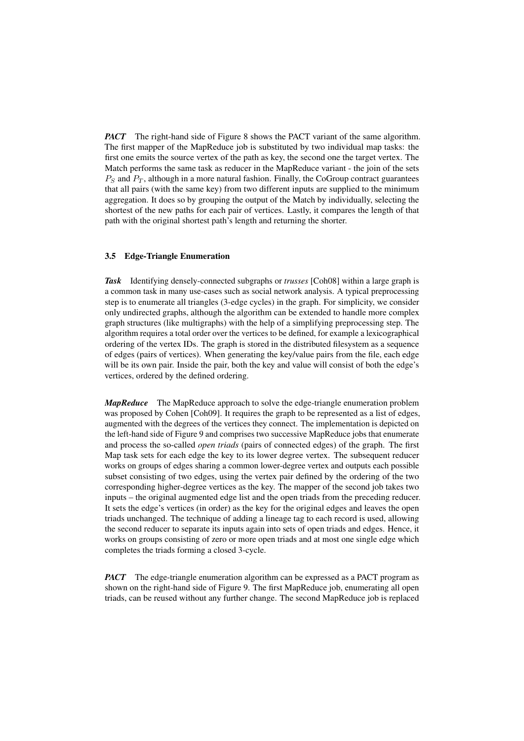*PACT* The right-hand side of Figure 8 shows the PACT variant of the same algorithm. The first mapper of the MapReduce job is substituted by two individual map tasks: the first one emits the source vertex of the path as key, the second one the target vertex. The Match performs the same task as reducer in the MapReduce variant - the join of the sets  $P<sub>S</sub>$  and  $P<sub>T</sub>$ , although in a more natural fashion. Finally, the CoGroup contract guarantees that all pairs (with the same key) from two different inputs are supplied to the minimum aggregation. It does so by grouping the output of the Match by individually, selecting the shortest of the new paths for each pair of vertices. Lastly, it compares the length of that path with the original shortest path's length and returning the shorter.

#### 3.5 Edge-Triangle Enumeration

*Task* Identifying densely-connected subgraphs or *trusses* [Coh08] within a large graph is a common task in many use-cases such as social network analysis. A typical preprocessing step is to enumerate all triangles (3-edge cycles) in the graph. For simplicity, we consider only undirected graphs, although the algorithm can be extended to handle more complex graph structures (like multigraphs) with the help of a simplifying preprocessing step. The algorithm requires a total order over the vertices to be defined, for example a lexicographical ordering of the vertex IDs. The graph is stored in the distributed filesystem as a sequence of edges (pairs of vertices). When generating the key/value pairs from the file, each edge will be its own pair. Inside the pair, both the key and value will consist of both the edge's vertices, ordered by the defined ordering.

*MapReduce* The MapReduce approach to solve the edge-triangle enumeration problem was proposed by Cohen [Coh09]. It requires the graph to be represented as a list of edges, augmented with the degrees of the vertices they connect. The implementation is depicted on the left-hand side of Figure 9 and comprises two successive MapReduce jobs that enumerate and process the so-called *open triads* (pairs of connected edges) of the graph. The first Map task sets for each edge the key to its lower degree vertex. The subsequent reducer works on groups of edges sharing a common lower-degree vertex and outputs each possible subset consisting of two edges, using the vertex pair defined by the ordering of the two corresponding higher-degree vertices as the key. The mapper of the second job takes two inputs – the original augmented edge list and the open triads from the preceding reducer. It sets the edge's vertices (in order) as the key for the original edges and leaves the open triads unchanged. The technique of adding a lineage tag to each record is used, allowing the second reducer to separate its inputs again into sets of open triads and edges. Hence, it works on groups consisting of zero or more open triads and at most one single edge which completes the triads forming a closed 3-cycle.

*PACT* The edge-triangle enumeration algorithm can be expressed as a PACT program as shown on the right-hand side of Figure 9. The first MapReduce job, enumerating all open triads, can be reused without any further change. The second MapReduce job is replaced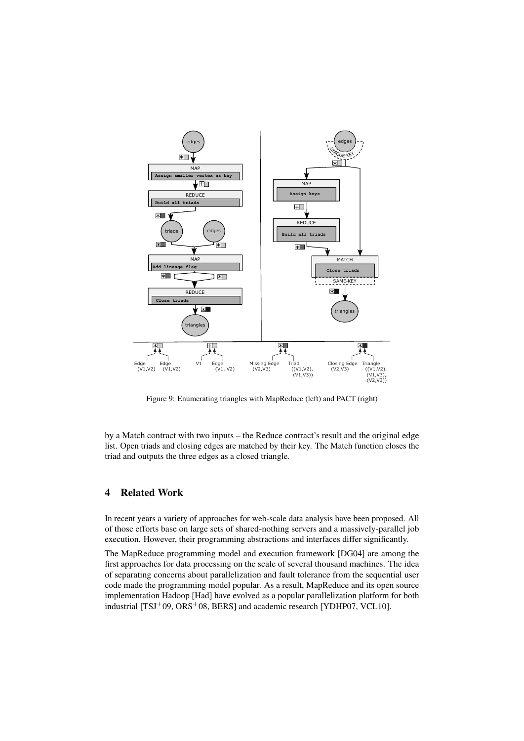

Figure 9: Enumerating triangles with MapReduce (left) and PACT (right)

by a Match contract with two inputs – the Reduce contract's result and the original edge list. Open triads and closing edges are matched by their key. The Match function closes the triad and outputs the three edges as a closed triangle.

# 4 Related Work

In recent years a variety of approaches for web-scale data analysis have been proposed. All of those efforts base on large sets of shared-nothing servers and a massively-parallel job execution. However, their programming abstractions and interfaces differ significantly.

The MapReduce programming model and execution framework [DG04] are among the first approaches for data processing on the scale of several thousand machines. The idea of separating concerns about parallelization and fault tolerance from the sequential user code made the programming model popular. As a result, MapReduce and its open source implementation Hadoop [Had] have evolved as a popular parallelization platform for both industrial [TSJ+09, ORS+08, BERS] and academic research [YDHP07, VCL10].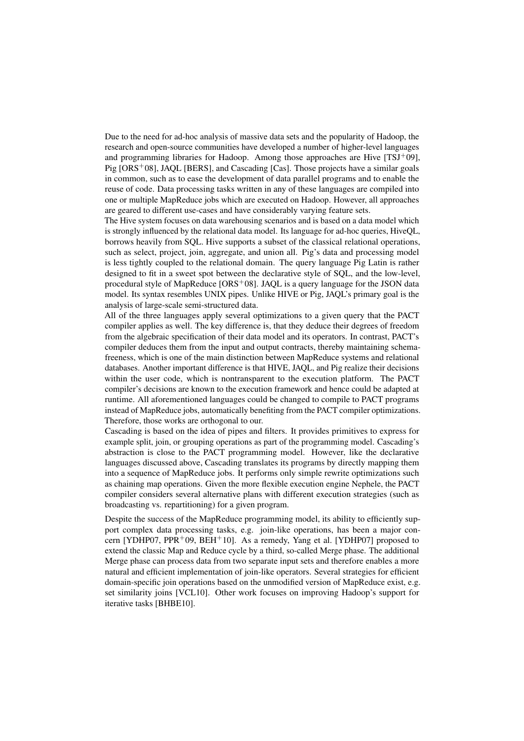Due to the need for ad-hoc analysis of massive data sets and the popularity of Hadoop, the research and open-source communities have developed a number of higher-level languages and programming libraries for Hadoop. Among those approaches are Hive  $[TSI^+09]$ , Pig [ORS<sup>+</sup>08], JAQL [BERS], and Cascading [Cas]. Those projects have a similar goals in common, such as to ease the development of data parallel programs and to enable the reuse of code. Data processing tasks written in any of these languages are compiled into one or multiple MapReduce jobs which are executed on Hadoop. However, all approaches are geared to different use-cases and have considerably varying feature sets.

The Hive system focuses on data warehousing scenarios and is based on a data model which is strongly influenced by the relational data model. Its language for ad-hoc queries, HiveQL, borrows heavily from SQL. Hive supports a subset of the classical relational operations, such as select, project, join, aggregate, and union all. Pig's data and processing model is less tightly coupled to the relational domain. The query language Pig Latin is rather designed to fit in a sweet spot between the declarative style of SQL, and the low-level, procedural style of MapReduce [ORS<sup>+</sup>08]. JAQL is a query language for the JSON data model. Its syntax resembles UNIX pipes. Unlike HIVE or Pig, JAQL's primary goal is the analysis of large-scale semi-structured data.

All of the three languages apply several optimizations to a given query that the PACT compiler applies as well. The key difference is, that they deduce their degrees of freedom from the algebraic specification of their data model and its operators. In contrast, PACT's compiler deduces them from the input and output contracts, thereby maintaining schemafreeness, which is one of the main distinction between MapReduce systems and relational databases. Another important difference is that HIVE, JAQL, and Pig realize their decisions within the user code, which is nontransparent to the execution platform. The PACT compiler's decisions are known to the execution framework and hence could be adapted at runtime. All aforementioned languages could be changed to compile to PACT programs instead of MapReduce jobs, automatically benefiting from the PACT compiler optimizations. Therefore, those works are orthogonal to our.

Cascading is based on the idea of pipes and filters. It provides primitives to express for example split, join, or grouping operations as part of the programming model. Cascading's abstraction is close to the PACT programming model. However, like the declarative languages discussed above, Cascading translates its programs by directly mapping them into a sequence of MapReduce jobs. It performs only simple rewrite optimizations such as chaining map operations. Given the more flexible execution engine Nephele, the PACT compiler considers several alternative plans with different execution strategies (such as broadcasting vs. repartitioning) for a given program.

Despite the success of the MapReduce programming model, its ability to efficiently support complex data processing tasks, e.g. join-like operations, has been a major concern [YDHP07, PPR<sup>+</sup>09, BEH<sup>+</sup>10]. As a remedy, Yang et al. [YDHP07] proposed to extend the classic Map and Reduce cycle by a third, so-called Merge phase. The additional Merge phase can process data from two separate input sets and therefore enables a more natural and efficient implementation of join-like operators. Several strategies for efficient domain-specific join operations based on the unmodified version of MapReduce exist, e.g. set similarity joins [VCL10]. Other work focuses on improving Hadoop's support for iterative tasks [BHBE10].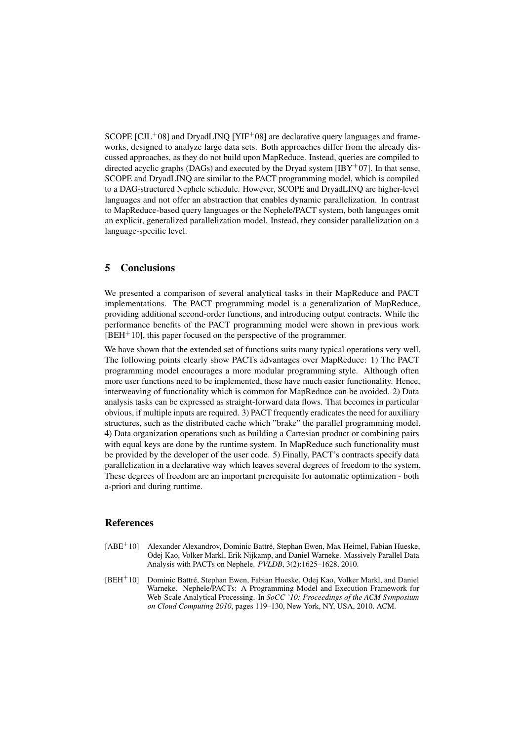SCOPE  $\text{ICJL}^{+}081$  and DryadLINO  $\text{IYIF}^{+}081$  are declarative query languages and frameworks, designed to analyze large data sets. Both approaches differ from the already discussed approaches, as they do not build upon MapReduce. Instead, queries are compiled to directed acyclic graphs (DAGs) and executed by the Dryad system  $[IBY<sup>+</sup>07]$ . In that sense, SCOPE and DryadLINQ are similar to the PACT programming model, which is compiled to a DAG-structured Nephele schedule. However, SCOPE and DryadLINQ are higher-level languages and not offer an abstraction that enables dynamic parallelization. In contrast to MapReduce-based query languages or the Nephele/PACT system, both languages omit an explicit, generalized parallelization model. Instead, they consider parallelization on a language-specific level.

## 5 Conclusions

We presented a comparison of several analytical tasks in their MapReduce and PACT implementations. The PACT programming model is a generalization of MapReduce, providing additional second-order functions, and introducing output contracts. While the performance benefits of the PACT programming model were shown in previous work  $[BEH<sup>+</sup>10]$ , this paper focused on the perspective of the programmer.

We have shown that the extended set of functions suits many typical operations very well. The following points clearly show PACTs advantages over MapReduce: 1) The PACT programming model encourages a more modular programming style. Although often more user functions need to be implemented, these have much easier functionality. Hence, interweaving of functionality which is common for MapReduce can be avoided. 2) Data analysis tasks can be expressed as straight-forward data flows. That becomes in particular obvious, if multiple inputs are required. 3) PACT frequently eradicates the need for auxiliary structures, such as the distributed cache which "brake" the parallel programming model. 4) Data organization operations such as building a Cartesian product or combining pairs with equal keys are done by the runtime system. In MapReduce such functionality must be provided by the developer of the user code. 5) Finally, PACT's contracts specify data parallelization in a declarative way which leaves several degrees of freedom to the system. These degrees of freedom are an important prerequisite for automatic optimization - both a-priori and during runtime.

## References

- [ABE<sup>+</sup>10] Alexander Alexandrov, Dominic Battré, Stephan Ewen, Max Heimel, Fabian Hueske, Odej Kao, Volker Markl, Erik Nijkamp, and Daniel Warneke. Massively Parallel Data Analysis with PACTs on Nephele. *PVLDB*, 3(2):1625–1628, 2010.
- [BEH<sup>+</sup>10] Dominic Battré, Stephan Ewen, Fabian Hueske, Odej Kao, Volker Markl, and Daniel Warneke. Nephele/PACTs: A Programming Model and Execution Framework for Web-Scale Analytical Processing. In *SoCC '10: Proceedings of the ACM Symposium on Cloud Computing 2010*, pages 119–130, New York, NY, USA, 2010. ACM.